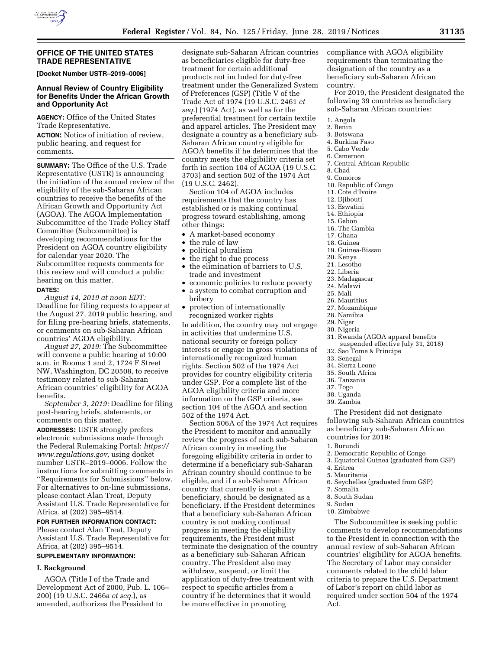

### **OFFICE OF THE UNITED STATES TRADE REPRESENTATIVE**

**[Docket Number USTR–2019–0006]** 

# **Annual Review of Country Eligibility for Benefits Under the African Growth and Opportunity Act**

**AGENCY:** Office of the United States Trade Representative.

**ACTION:** Notice of initiation of review, public hearing, and request for comments.

**SUMMARY:** The Office of the U.S. Trade Representative (USTR) is announcing the initiation of the annual review of the eligibility of the sub-Saharan African countries to receive the benefits of the African Growth and Opportunity Act (AGOA). The AGOA Implementation Subcommittee of the Trade Policy Staff Committee (Subcommittee) is developing recommendations for the President on AGOA country eligibility for calendar year 2020. The Subcommittee requests comments for this review and will conduct a public hearing on this matter.

### **DATES:**

*August 14, 2019 at noon EDT:*  Deadline for filing requests to appear at the August 27, 2019 public hearing, and for filing pre-hearing briefs, statements, or comments on sub-Saharan African countries' AGOA eligibility.

*August 27, 2019:* The Subcommittee will convene a public hearing at 10:00 a.m. in Rooms 1 and 2, 1724 F Street NW, Washington, DC 20508, to receive testimony related to sub-Saharan African countries' eligibility for AGOA benefits.

*September 3, 2019:* Deadline for filing post-hearing briefs, statements, or comments on this matter.

**ADDRESSES:** USTR strongly prefers electronic submissions made through the Federal Rulemaking Portal: *[https://](https://www.regulations.gov)  [www.regulations.gov,](https://www.regulations.gov)* using docket number USTR–2019–0006. Follow the instructions for submitting comments in ''Requirements for Submissions'' below. For alternatives to on-line submissions, please contact Alan Treat, Deputy Assistant U.S. Trade Representative for Africa, at (202) 395–9514.

### **FOR FURTHER INFORMATION CONTACT:**

Please contact Alan Treat, Deputy Assistant U.S. Trade Representative for Africa, at (202) 395–9514.

# **SUPPLEMENTARY INFORMATION:**

### **I. Background**

AGOA (Title I of the Trade and Development Act of 2000, Pub. L. 106– 200) (19 U.S.C. 2466a *et seq.*), as amended, authorizes the President to

designate sub-Saharan African countries as beneficiaries eligible for duty-free treatment for certain additional products not included for duty-free treatment under the Generalized System of Preferences (GSP) (Title V of the Trade Act of 1974 (19 U.S.C. 2461 *et seq.*) (1974 Act), as well as for the preferential treatment for certain textile and apparel articles. The President may designate a country as a beneficiary sub-Saharan African country eligible for AGOA benefits if he determines that the country meets the eligibility criteria set forth in section 104 of AGOA (19 U.S.C. 3703) and section 502 of the 1974 Act (19 U.S.C. 2462).

Section 104 of AGOA includes requirements that the country has established or is making continual progress toward establishing, among other things:

- A market-based economy
- the rule of law
- political pluralism
- the right to due process
- the elimination of barriers to U.S. trade and investment
- economic policies to reduce poverty
- a system to combat corruption and
- bribery • protection of internationally recognized worker rights

In addition, the country may not engage in activities that undermine U.S. national security or foreign policy interests or engage in gross violations of internationally recognized human rights. Section 502 of the 1974 Act provides for country eligibility criteria under GSP. For a complete list of the AGOA eligibility criteria and more information on the GSP criteria, see section 104 of the AGOA and section 502 of the 1974 Act.

Section 506A of the 1974 Act requires the President to monitor and annually review the progress of each sub-Saharan African country in meeting the foregoing eligibility criteria in order to determine if a beneficiary sub-Saharan African country should continue to be eligible, and if a sub-Saharan African country that currently is not a beneficiary, should be designated as a beneficiary. If the President determines that a beneficiary sub-Saharan African country is not making continual progress in meeting the eligibility requirements, the President must terminate the designation of the country as a beneficiary sub-Saharan African country. The President also may withdraw, suspend, or limit the application of duty-free treatment with respect to specific articles from a country if he determines that it would be more effective in promoting

compliance with AGOA eligibility requirements than terminating the designation of the country as a beneficiary sub-Saharan African country.

For 2019, the President designated the following 39 countries as beneficiary sub-Saharan African countries:

- 1. Angola
- 2. Benin
- 3. Botswana
- 4. Burkina Faso
- 5. Cabo Verde
- 6. Cameroon
- 7. Central African Republic
- 8. Chad
- 9. Comoros
- 10. Republic of Congo
- 11. Cote d'Ivoire
- 12. Djibouti
- 13. Eswatini
- 14. Ethiopia
- 15. Gabon
- 16. The Gambia
- 17. Ghana
- 18. Guinea
- 19. Guinea-Bissau
- 20. Kenya
- 21. Lesotho
- 22. Liberia
- 23. Madagascar
- 24. Malawi 25. Mali
- 26. Mauritius
- 27. Mozambique
- 28. Namibia
- 29. Niger
- 30. Nigeria
- 31. Rwanda (AGOA apparel benefits
- suspended effective July 31, 2018) 32. Sao Tome & Principe
- 33. Senegal
- 34. Sierra Leone
- 35. South Africa
- 36. Tanzania
- 37. Togo
- 38. Uganda
- 39. Zambia

The President did not designate following sub-Saharan African countries as beneficiary sub-Saharan African countries for 2019:

- 1. Burundi
- 2. Democratic Republic of Congo
- 3. Equatorial Guinea (graduated from GSP)
- 4. Eritrea
- 5. Mauritania
- 6. Seychelles (graduated from GSP)
- 7. Somalia
- 8. South Sudan
- 9. Sudan
- 10. Zimbabwe

The Subcommittee is seeking public comments to develop recommendations to the President in connection with the annual review of sub-Saharan African countries' eligibility for AGOA benefits. The Secretary of Labor may consider comments related to the child labor criteria to prepare the U.S. Department of Labor's report on child labor as required under section 504 of the 1974 Act.